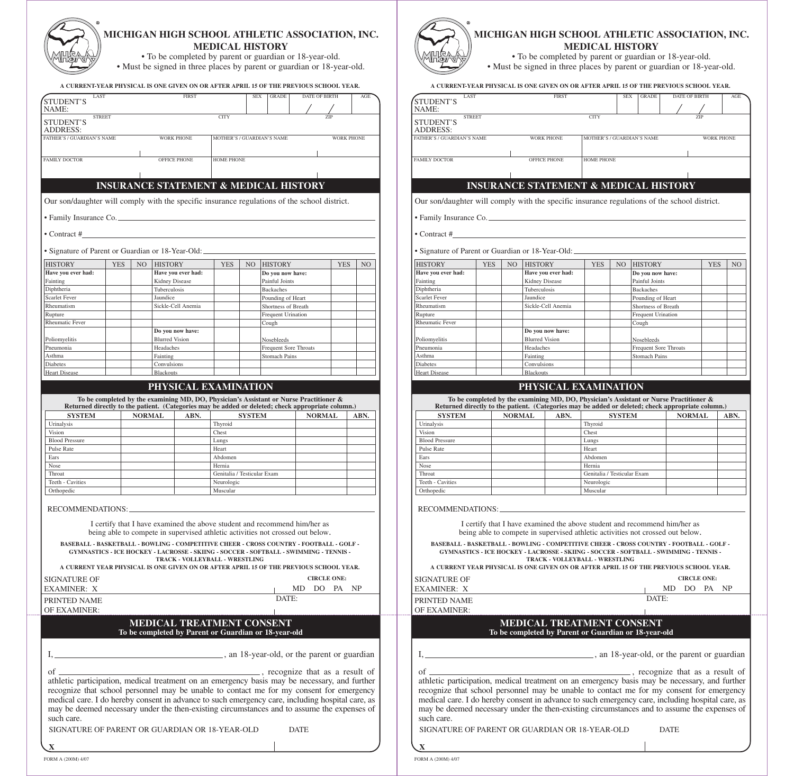## **MICHIGAN HIGH SCHOOL ATHLETIC ASSOCIATION, INC. MEDICAL HISTORY**

• To be completed by parent or guardian or 18-year-old.

• Must be signed in three places by parent or guardian or 18-year-old.

| A CURRENT-YEAR PHYSICAL IS ONE GIVEN ON OR AFTER APRIL 15 OF THE PREVIOUS SCHOOL YEAR.                                                                                                  |            |     |                                    |                                                                                                                                                                                                                                |                             |               |                                       |                              |                    |                |
|-----------------------------------------------------------------------------------------------------------------------------------------------------------------------------------------|------------|-----|------------------------------------|--------------------------------------------------------------------------------------------------------------------------------------------------------------------------------------------------------------------------------|-----------------------------|---------------|---------------------------------------|------------------------------|--------------------|----------------|
| LAST<br><b>STUDENT'S</b>                                                                                                                                                                |            |     |                                    | <b>FIRST</b>                                                                                                                                                                                                                   |                             | <b>SEX</b>    | <b>GRADE</b>                          |                              | DATE OF BIRTH      | AGE            |
| NAME:                                                                                                                                                                                   |            |     |                                    |                                                                                                                                                                                                                                |                             |               |                                       |                              |                    |                |
| <b>STREET</b><br><b>STUDENT'S</b><br><b>ADDRESS:</b>                                                                                                                                    |            |     |                                    |                                                                                                                                                                                                                                | <b>CITY</b>                 |               |                                       |                              |                    |                |
| FATHER'S / GUARDIAN'S NAME                                                                                                                                                              |            |     |                                    | <b>WORK PHONE</b>                                                                                                                                                                                                              |                             |               | MOTHER'S / GUARDIAN'S NAME            |                              | <b>WORK PHONE</b>  |                |
| <b>FAMILY DOCTOR</b>                                                                                                                                                                    |            |     |                                    | <b>OFFICE PHONE</b>                                                                                                                                                                                                            | <b>HOME PHONE</b>           |               |                                       |                              |                    |                |
|                                                                                                                                                                                         |            |     |                                    |                                                                                                                                                                                                                                |                             |               |                                       |                              |                    |                |
|                                                                                                                                                                                         |            |     |                                    | <b>INSURANCE STATEMENT &amp; MEDICAL HISTORY</b>                                                                                                                                                                               |                             |               |                                       |                              |                    |                |
| Our son/daughter will comply with the specific insurance regulations of the school district.                                                                                            |            |     |                                    |                                                                                                                                                                                                                                |                             |               |                                       |                              |                    |                |
| • Family Insurance Co.                                                                                                                                                                  |            |     |                                    |                                                                                                                                                                                                                                |                             |               |                                       |                              |                    |                |
| • Contract #                                                                                                                                                                            |            |     |                                    |                                                                                                                                                                                                                                |                             |               |                                       |                              |                    |                |
| • Signature of Parent or Guardian or 18-Year-Old:                                                                                                                                       |            |     |                                    |                                                                                                                                                                                                                                |                             |               |                                       |                              |                    |                |
| <b>HISTORY</b>                                                                                                                                                                          | <b>YES</b> | NO. | <b>HISTORY</b>                     |                                                                                                                                                                                                                                | <b>YES</b>                  | NO.           | <b>HISTORY</b>                        |                              | <b>YES</b>         | N <sub>O</sub> |
| Have you ever had:                                                                                                                                                                      |            |     |                                    | Have you ever had:                                                                                                                                                                                                             |                             |               | Do you now have:                      |                              |                    |                |
| Fainting                                                                                                                                                                                |            |     | Kidney Disease                     |                                                                                                                                                                                                                                |                             |               | Painful Joints                        |                              |                    |                |
| Diphtheria<br><b>Scarlet Fever</b>                                                                                                                                                      |            |     | Tuberculosis<br>Jaundice           |                                                                                                                                                                                                                                |                             |               | <b>Backaches</b><br>Pounding of Heart |                              |                    |                |
| Rheumatism                                                                                                                                                                              |            |     |                                    | Sickle-Cell Anemia                                                                                                                                                                                                             |                             |               | Shortness of Breath                   |                              |                    |                |
| Rupture                                                                                                                                                                                 |            |     |                                    |                                                                                                                                                                                                                                |                             |               | Frequent Urination                    |                              |                    |                |
| <b>Rheumatic Fever</b>                                                                                                                                                                  |            |     |                                    |                                                                                                                                                                                                                                |                             |               | Cough                                 |                              |                    |                |
|                                                                                                                                                                                         |            |     |                                    | Do you now have:                                                                                                                                                                                                               |                             |               |                                       |                              |                    |                |
| Poliomyelitis<br>Pneumonia                                                                                                                                                              |            |     | <b>Blurred Vision</b><br>Headaches |                                                                                                                                                                                                                                |                             |               | Nosebleeds                            | <b>Frequent Sore Throats</b> |                    |                |
| Asthma                                                                                                                                                                                  |            |     | Fainting                           |                                                                                                                                                                                                                                |                             |               | <b>Stomach Pains</b>                  |                              |                    |                |
| <b>Diabetes</b>                                                                                                                                                                         |            |     | Convulsions                        |                                                                                                                                                                                                                                |                             |               |                                       |                              |                    |                |
| <b>Heart Disease</b>                                                                                                                                                                    |            |     | <b>Blackouts</b>                   |                                                                                                                                                                                                                                |                             |               |                                       |                              |                    |                |
|                                                                                                                                                                                         |            |     |                                    | PHYSICAL EXAMINATION                                                                                                                                                                                                           |                             |               |                                       |                              |                    |                |
| Returned directly to the patient. (Categories may be added or deleted; check appropriate column.)<br><b>SYSTEM</b><br>Urinalysis                                                        |            |     | <b>NORMAL</b>                      | ABN.                                                                                                                                                                                                                           | Thyroid                     | <b>SYSTEM</b> |                                       |                              | <b>NORMAL</b>      | ABN.           |
| Vision                                                                                                                                                                                  |            |     |                                    |                                                                                                                                                                                                                                | Chest                       |               |                                       |                              |                    |                |
| <b>Blood Pressure</b>                                                                                                                                                                   |            |     |                                    |                                                                                                                                                                                                                                | Lungs                       |               |                                       |                              |                    |                |
| Pulse Rate<br>Ears                                                                                                                                                                      |            |     |                                    |                                                                                                                                                                                                                                | Heart<br>Abdomen            |               |                                       |                              |                    |                |
| Nose                                                                                                                                                                                    |            |     |                                    |                                                                                                                                                                                                                                | Hernia                      |               |                                       |                              |                    |                |
| Throat                                                                                                                                                                                  |            |     |                                    |                                                                                                                                                                                                                                | Genitalia / Testicular Exam |               |                                       |                              |                    |                |
| Teeth - Cavities<br>Orthopedic                                                                                                                                                          |            |     |                                    |                                                                                                                                                                                                                                | Neurologic<br>Muscular      |               |                                       |                              |                    |                |
|                                                                                                                                                                                         |            |     |                                    |                                                                                                                                                                                                                                |                             |               |                                       |                              |                    |                |
| RECOMMENDATIONS:                                                                                                                                                                        |            |     |                                    |                                                                                                                                                                                                                                |                             |               |                                       |                              |                    |                |
|                                                                                                                                                                                         |            |     |                                    | I certify that I have examined the above student and recommend him/her as<br>being able to compete in supervised athletic activities not crossed out below.                                                                    |                             |               |                                       |                              |                    |                |
| BASEBALL - BASKETBALL - BOWLING - COMPETITIVE CHEER - CROSS COUNTRY - FOOTBALL - GOLF -<br><b>GYMNASTICS - ICE HOCKEY - LACROSSE - SKIING - SOCCER - SOFTBALL - SWIMMING - TENNIS -</b> |            |     |                                    |                                                                                                                                                                                                                                |                             |               |                                       |                              |                    |                |
| A CURRENT YEAR PHYSICAL IS ONE GIVEN ON OR AFTER APRIL 15 OF THE PREVIOUS SCHOOL YEAR.                                                                                                  |            |     |                                    | TRACK - VOLLEYBALL - WRESTLING                                                                                                                                                                                                 |                             |               |                                       |                              |                    |                |
| <b>SIGNATURE OF</b>                                                                                                                                                                     |            |     |                                    |                                                                                                                                                                                                                                |                             |               |                                       |                              | <b>CIRCLE ONE:</b> |                |
| <b>EXAMINER: X</b><br>PRINTED NAME                                                                                                                                                      |            |     |                                    |                                                                                                                                                                                                                                |                             |               | DATE:                                 | DO<br>MD                     | PA.                | NP             |
| OF EXAMINER:                                                                                                                                                                            |            |     |                                    |                                                                                                                                                                                                                                |                             |               |                                       |                              |                    |                |
|                                                                                                                                                                                         |            |     |                                    | <b>MEDICAL TREATMENT CONSENT</b><br>To be completed by Parent or Guardian or 18-year-old                                                                                                                                       |                             |               |                                       |                              |                    |                |
|                                                                                                                                                                                         |            |     |                                    |                                                                                                                                                                                                                                |                             |               |                                       |                              |                    |                |
|                                                                                                                                                                                         |            |     |                                    |                                                                                                                                                                                                                                |                             |               |                                       |                              |                    |                |
| of                                                                                                                                                                                      |            |     |                                    | comparison of the comparison of the comparison of the comparison of the comparison of the comparison of the comparison of the comparison of the comparison of the comparison of the comparison of the comparison of the compar |                             |               |                                       |                              |                    |                |
| athletic participation, medical treatment on an emergency basis may be necessary, and further                                                                                           |            |     |                                    |                                                                                                                                                                                                                                |                             |               |                                       |                              |                    |                |
| recognize that school personnel may be unable to contact me for my consent for emergency                                                                                                |            |     |                                    |                                                                                                                                                                                                                                |                             |               |                                       |                              |                    |                |
| medical care. I do hereby consent in advance to such emergency care, including hospital care, as                                                                                        |            |     |                                    |                                                                                                                                                                                                                                |                             |               |                                       |                              |                    |                |
| may be deemed necessary under the then-existing circumstances and to assume the expenses of                                                                                             |            |     |                                    |                                                                                                                                                                                                                                |                             |               |                                       |                              |                    |                |
| such care.                                                                                                                                                                              |            |     |                                    |                                                                                                                                                                                                                                |                             |               |                                       |                              |                    |                |
| SIGNATURE OF PARENT OR GUARDIAN OR 18-YEAR-OLD                                                                                                                                          |            |     |                                    |                                                                                                                                                                                                                                |                             |               |                                       | <b>DATE</b>                  |                    |                |
| $\boldsymbol{\mathbf{X}}$                                                                                                                                                               |            |     |                                    |                                                                                                                                                                                                                                |                             |               |                                       |                              |                    |                |